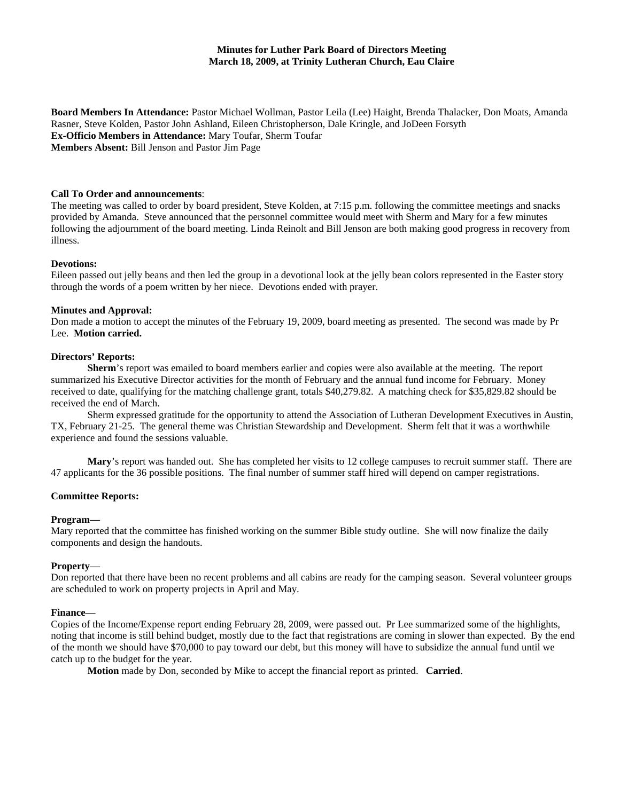**Board Members In Attendance:** Pastor Michael Wollman, Pastor Leila (Lee) Haight, Brenda Thalacker, Don Moats, Amanda Rasner, Steve Kolden, Pastor John Ashland, Eileen Christopherson, Dale Kringle, and JoDeen Forsyth **Ex-Officio Members in Attendance:** Mary Toufar, Sherm Toufar **Members Absent:** Bill Jenson and Pastor Jim Page

### **Call To Order and announcements**:

The meeting was called to order by board president, Steve Kolden, at 7:15 p.m. following the committee meetings and snacks provided by Amanda. Steve announced that the personnel committee would meet with Sherm and Mary for a few minutes following the adjournment of the board meeting. Linda Reinolt and Bill Jenson are both making good progress in recovery from illness.

### **Devotions:**

Eileen passed out jelly beans and then led the group in a devotional look at the jelly bean colors represented in the Easter story through the words of a poem written by her niece. Devotions ended with prayer.

### **Minutes and Approval:**

Don made a motion to accept the minutes of the February 19, 2009, board meeting as presented. The second was made by Pr Lee. **Motion carried.**

### **Directors' Reports:**

**Sherm**'s report was emailed to board members earlier and copies were also available at the meeting. The report summarized his Executive Director activities for the month of February and the annual fund income for February. Money received to date, qualifying for the matching challenge grant, totals \$40,279.82. A matching check for \$35,829.82 should be received the end of March.

Sherm expressed gratitude for the opportunity to attend the Association of Lutheran Development Executives in Austin, TX, February 21-25. The general theme was Christian Stewardship and Development. Sherm felt that it was a worthwhile experience and found the sessions valuable.

**Mary**'s report was handed out. She has completed her visits to 12 college campuses to recruit summer staff. There are 47 applicants for the 36 possible positions. The final number of summer staff hired will depend on camper registrations.

## **Committee Reports:**

#### **Program—**

Mary reported that the committee has finished working on the summer Bible study outline. She will now finalize the daily components and design the handouts.

## **Property**—

Don reported that there have been no recent problems and all cabins are ready for the camping season. Several volunteer groups are scheduled to work on property projects in April and May.

#### **Finance**—

Copies of the Income/Expense report ending February 28, 2009, were passed out. Pr Lee summarized some of the highlights, noting that income is still behind budget, mostly due to the fact that registrations are coming in slower than expected. By the end of the month we should have \$70,000 to pay toward our debt, but this money will have to subsidize the annual fund until we catch up to the budget for the year.

**Motion** made by Don, seconded by Mike to accept the financial report as printed. **Carried**.